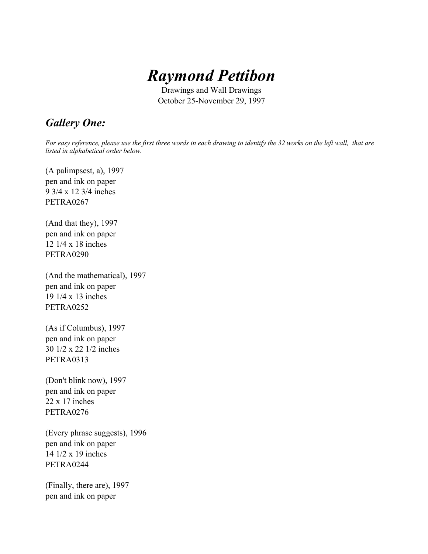

Drawings and Wall Drawings October 25-November 29, 1997

## *Gallery One:*

*For easy reference, please use the first three words in each drawing to identify the 32 works on the left wall, that are listed in alphabetical order below.*

(A palimpsest, a), 1997 pen and ink on paper 9 3/4 x 12 3/4 inches PETRA0267

(And that they), 1997 pen and ink on paper 12 1/4 x 18 inches PETRA0290

(And the mathematical), 1997 pen and ink on paper 19 1/4 x 13 inches PETRA0252

(As if Columbus), 1997 pen and ink on paper 30 1/2 x 22 1/2 inches PETRA0313

(Don't blink now), 1997 pen and ink on paper 22 x 17 inches PETRA0276

(Every phrase suggests), 1996 pen and ink on paper 14 1/2 x 19 inches PETRA0244

(Finally, there are), 1997 pen and ink on paper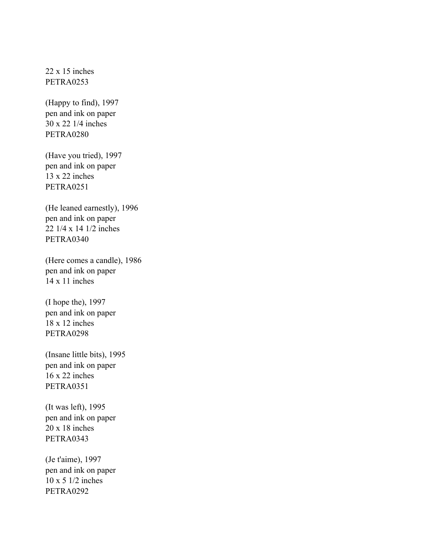$22 \times 15$  inches PETRA0253

(Happy to find), 1997 pen and ink on paper 30 x 22 1/4 inches PETRA0280

(Have you tried), 1997 pen and ink on paper 13 x 22 inches PETRA0251

(He leaned earnestly), 1996 pen and ink on paper 22 1/4 x 14 1/2 inches PETRA0340

(Here comes a candle), 1986 pen and ink on paper 14 x 11 inches

(I hope the), 1997 pen and ink on paper 18 x 12 inches PETRA0298

(Insane little bits), 1995 pen and ink on paper 16 x 22 inches PETRA0351

(It was left), 1995 pen and ink on paper 20 x 18 inches PETRA0343

(Je t'aime), 1997 pen and ink on paper 10 x 5 1/2 inches PETRA0292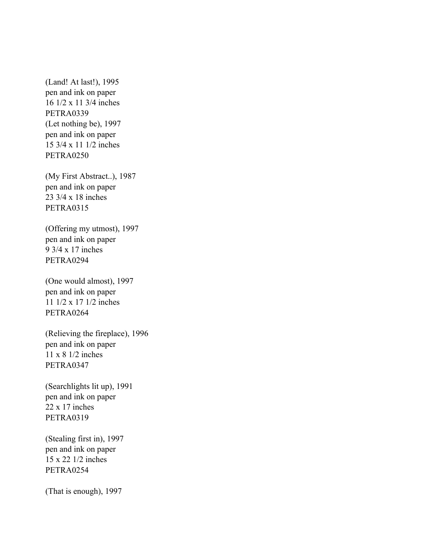(Land! At last!), 1995 pen and ink on paper 16 1/2 x 11 3/4 inches PETRA0339 (Let nothing be), 1997 pen and ink on paper 15 3/4 x 11 1/2 inches PETRA0250

(My First Abstract..), 1987 pen and ink on paper 23 3/4 x 18 inches PETRA0315

(Offering my utmost), 1997 pen and ink on paper 9 3/4 x 17 inches PETRA0294

(One would almost), 1997 pen and ink on paper 11 1/2 x 17 1/2 inches PETRA0264

(Relieving the fireplace), 1996 pen and ink on paper 11 x 8 1/2 inches PETRA0347

(Searchlights lit up), 1991 pen and ink on paper 22 x 17 inches PETRA0319

(Stealing first in), 1997 pen and ink on paper 15 x 22 1/2 inches PETRA0254

(That is enough), 1997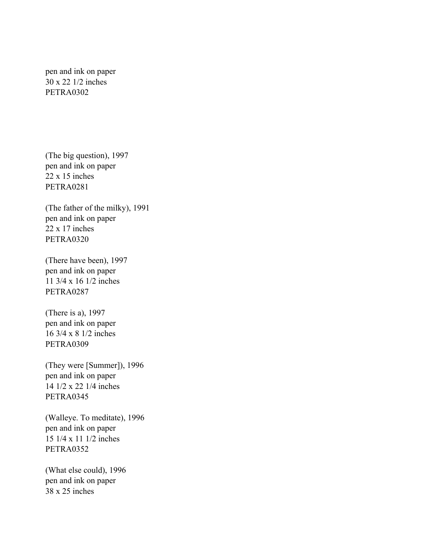pen and ink on paper 30 x 22 1/2 inches PETRA0302

(The big question), 1997 pen and ink on paper 22 x 15 inches PETRA0281

(The father of the milky), 1991 pen and ink on paper 22 x 17 inches PETRA0320

(There have been), 1997 pen and ink on paper 11 3/4 x 16 1/2 inches PETRA0287

(There is a), 1997 pen and ink on paper 16 3/4 x 8 1/2 inches PETRA0309

(They were [Summer]), 1996 pen and ink on paper 14 1/2 x 22 1/4 inches PETRA0345

(Walleye. To meditate), 1996 pen and ink on paper 15 1/4 x 11 1/2 inches PETRA0352

(What else could), 1996 pen and ink on paper 38 x 25 inches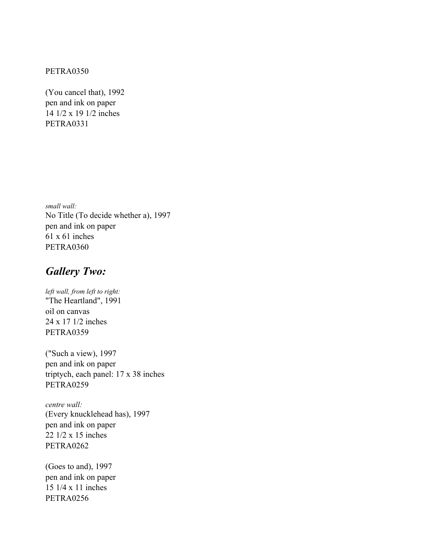## PETRA0350

(You cancel that), 1992 pen and ink on paper 14 1/2 x 19 1/2 inches PETRA0331

*small wall:* No Title (To decide whether a), 1997 pen and ink on paper 61 x 61 inches PETRA0360

## *Gallery Two:*

*left wall, from left to right:* "The Heartland", 1991 oil on canvas 24 x 17 1/2 inches PETRA0359

("Such a view), 1997 pen and ink on paper triptych, each panel: 17 x 38 inches PETRA0259

*centre wall:* (Every knucklehead has), 1997 pen and ink on paper 22 1/2 x 15 inches PETRA0262

(Goes to and), 1997 pen and ink on paper 15 1/4 x 11 inches PETRA0256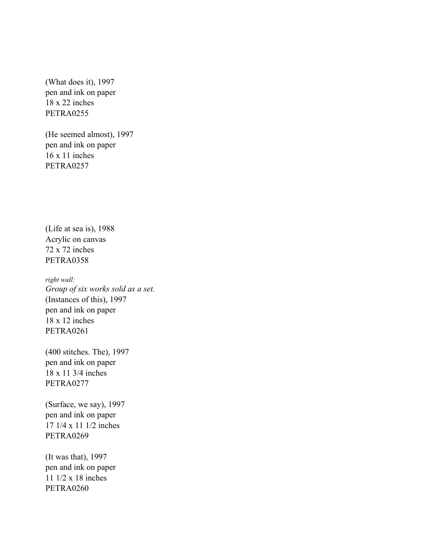(What does it), 1997 pen and ink on paper 18 x 22 inches PETRA0255

(He seemed almost), 1997 pen and ink on paper 16 x 11 inches PETRA0257

(Life at sea is), 1988 Acrylic on canvas 72 x 72 inches PETRA0358

*right wall: Group of six works sold as a set.* (Instances of this), 1997 pen and ink on paper 18 x 12 inches PETRA0261

(400 stitches. The), 1997 pen and ink on paper 18 x 11 3/4 inches PETRA0277

(Surface, we say), 1997 pen and ink on paper 17 1/4 x 11 1/2 inches PETRA0269

(It was that), 1997 pen and ink on paper 11 1/2 x 18 inches PETRA0260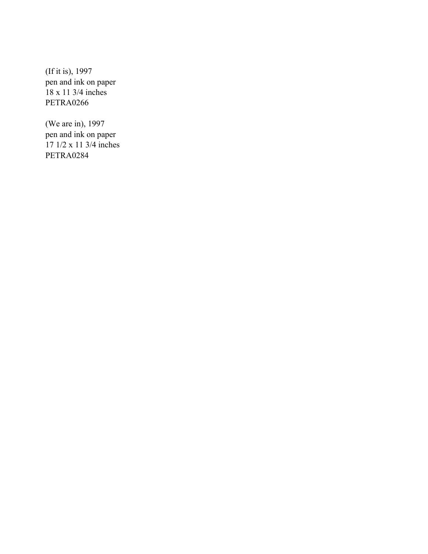(If it is), 1997 pen and ink on paper 18 x 11 3/4 inches PETRA0266

(We are in), 1997 pen and ink on paper 17 1/2 x 11 3/4 inches PETRA0284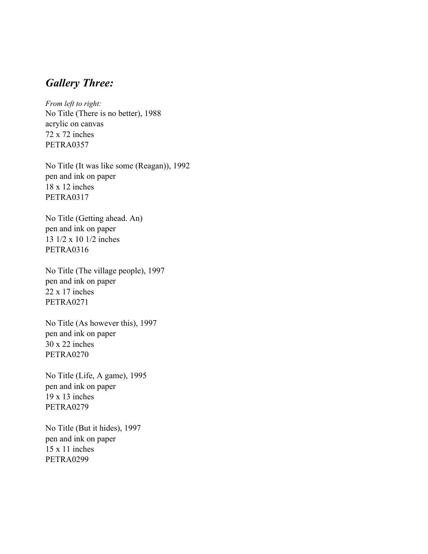## *Gallery Three:*

*From left to right:* No Title (There is no better), 1988 acrylic on canvas 72 x 72 inches PETRA0357

No Title (It was like some (Reagan)), 1992 pen and ink on paper 18 x 12 inches PETRA0317

No Title (Getting ahead. An) pen and ink on paper 13 1/2 x 10 1/2 inches PETRA0316

No Title (The village people), 1997 pen and ink on paper 22 x 17 inches PETRA0271

No Title (As however this), 1997 pen and ink on paper 30 x 22 inches PETRA0270

No Title (Life, A game), 1995 pen and ink on paper 19 x 13 inches PETRA0279

No Title (But it hides), 1997 pen and ink on paper 15 x 11 inches PETRA0299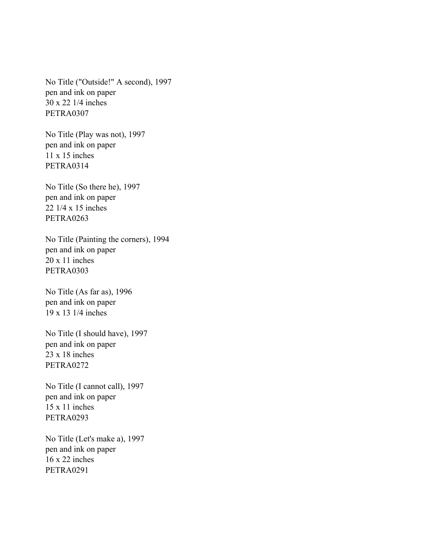No Title ("Outside!" A second), 1997 pen and ink on paper 30 x 22 1/4 inches PETRA0307

No Title (Play was not), 1997 pen and ink on paper 11 x 15 inches PETRA0314

No Title (So there he), 1997 pen and ink on paper 22 1/4 x 15 inches PETRA0263

No Title (Painting the corners), 1994 pen and ink on paper 20 x 11 inches PETRA0303

No Title (As far as), 1996 pen and ink on paper 19 x 13 1/4 inches

No Title (I should have), 1997 pen and ink on paper  $23 \times 18$  inches PETRA0272

No Title (I cannot call), 1997 pen and ink on paper 15 x 11 inches PETRA0293

No Title (Let's make a), 1997 pen and ink on paper 16 x 22 inches PETRA0291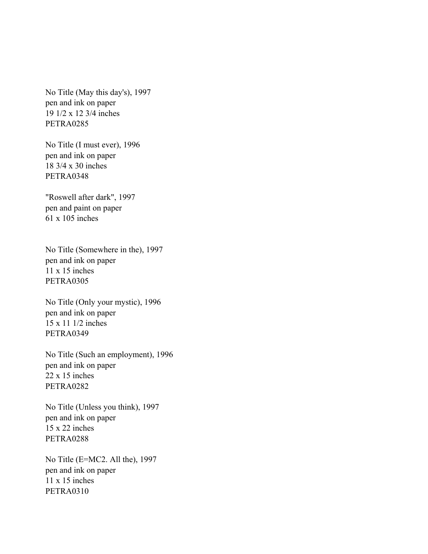No Title (May this day's), 1997 pen and ink on paper 19 1/2 x 12 3/4 inches PETRA0285

No Title (I must ever), 1996 pen and ink on paper 18 3/4 x 30 inches PETRA0348

"Roswell after dark", 1997 pen and paint on paper 61 x 105 inches

No Title (Somewhere in the), 1997 pen and ink on paper 11 x 15 inches PETRA0305

No Title (Only your mystic), 1996 pen and ink on paper 15 x 11 1/2 inches PETRA0349

No Title (Such an employment), 1996 pen and ink on paper 22 x 15 inches PETRA0282

No Title (Unless you think), 1997 pen and ink on paper 15 x 22 inches PETRA0288

No Title (E=MC2. All the), 1997 pen and ink on paper 11 x 15 inches PETRA0310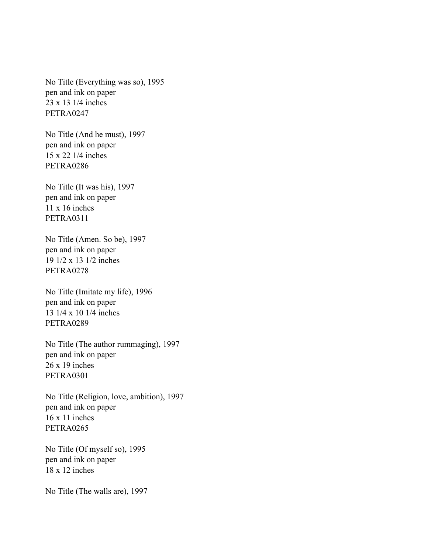No Title (Everything was so), 1995 pen and ink on paper 23 x 13 1/4 inches PETRA0247

No Title (And he must), 1997 pen and ink on paper 15 x 22 1/4 inches PETRA0286

No Title (It was his), 1997 pen and ink on paper 11 x 16 inches PETRA0311

No Title (Amen. So be), 1997 pen and ink on paper 19 1/2 x 13 1/2 inches PETRA0278

No Title (Imitate my life), 1996 pen and ink on paper 13 1/4 x 10 1/4 inches PETRA0289

No Title (The author rummaging), 1997 pen and ink on paper 26 x 19 inches PETRA0301

No Title (Religion, love, ambition), 1997 pen and ink on paper 16 x 11 inches PETRA0265

No Title (Of myself so), 1995 pen and ink on paper 18 x 12 inches

No Title (The walls are), 1997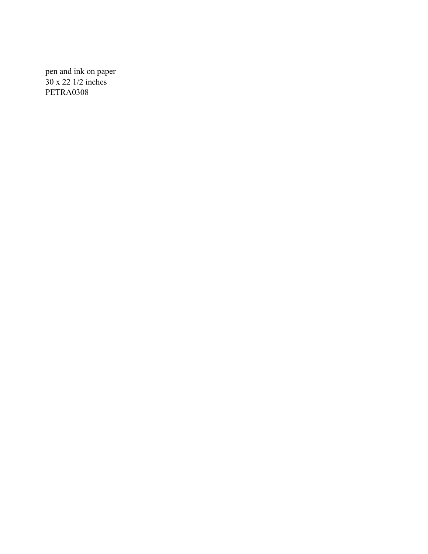pen and ink on paper 30 x 22 1/2 inches PETRA0308